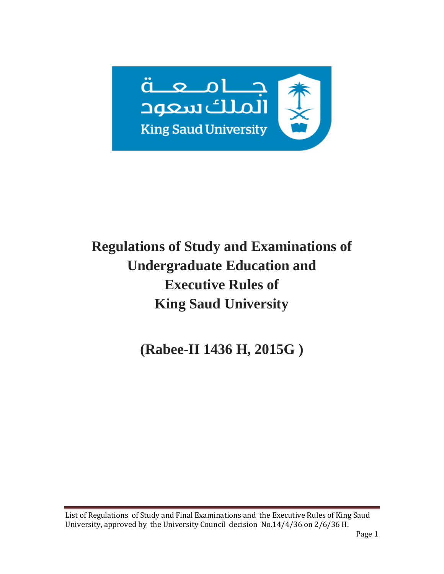

# **Regulations of Study and Examinations of Undergraduate Education and Executive Rules of King Saud University**

**(Rabee-II 1436 H, 2015G )**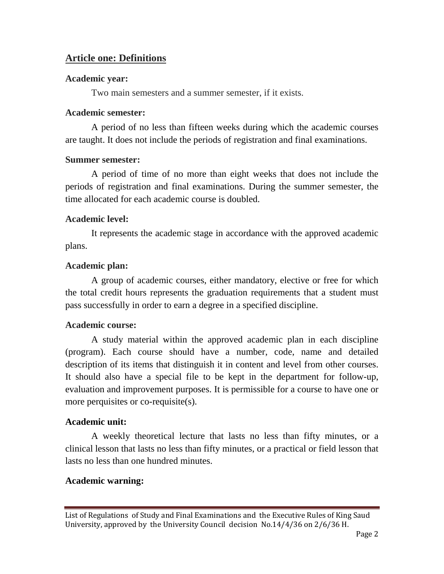### **Article one: Definitions**

### **Academic year:**

Two main semesters and a summer semester, if it exists.

### **Academic semester:**

A period of no less than fifteen weeks during which the academic courses are taught. It does not include the periods of registration and final examinations.

### **Summer semester:**

A period of time of no more than eight weeks that does not include the periods of registration and final examinations. During the summer semester, the time allocated for each academic course is doubled.

### **Academic level:**

It represents the academic stage in accordance with the approved academic plans.

### **Academic plan:**

A group of academic courses, either mandatory, elective or free for which the total credit hours represents the graduation requirements that a student must pass successfully in order to earn a degree in a specified discipline.

### **Academic course:**

A study material within the approved academic plan in each discipline (program). Each course should have a number, code, name and detailed description of its items that distinguish it in content and level from other courses. It should also have a special file to be kept in the department for follow-up, evaluation and improvement purposes. It is permissible for a course to have one or more perquisites or co-requisite(s).

### **Academic unit:**

A weekly theoretical lecture that lasts no less than fifty minutes, or a clinical lesson that lasts no less than fifty minutes, or a practical or field lesson that lasts no less than one hundred minutes.

### **Academic warning:**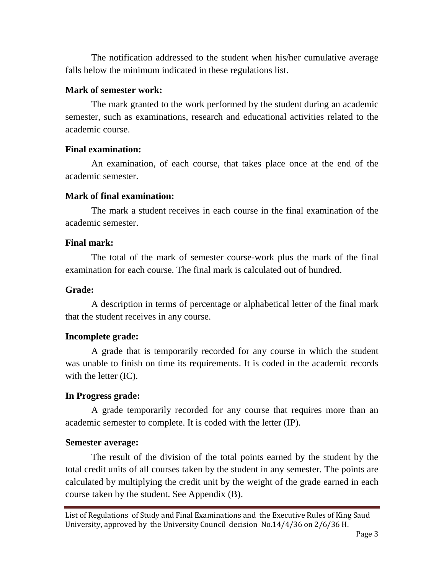The notification addressed to the student when his/her cumulative average falls below the minimum indicated in these regulations list.

#### **Mark of semester work:**

The mark granted to the work performed by the student during an academic semester, such as examinations, research and educational activities related to the academic course.

### **Final examination:**

An examination, of each course, that takes place once at the end of the academic semester.

#### **Mark of final examination:**

The mark a student receives in each course in the final examination of the academic semester.

### **Final mark:**

The total of the mark of semester course-work plus the mark of the final examination for each course. The final mark is calculated out of hundred.

#### **Grade:**

A description in terms of percentage or alphabetical letter of the final mark that the student receives in any course.

### **Incomplete grade:**

A grade that is temporarily recorded for any course in which the student was unable to finish on time its requirements. It is coded in the academic records with the letter (IC).

### **In Progress grade:**

A grade temporarily recorded for any course that requires more than an academic semester to complete. It is coded with the letter (IP).

#### **Semester average:**

The result of the division of the total points earned by the student by the total credit units of all courses taken by the student in any semester. The points are calculated by multiplying the credit unit by the weight of the grade earned in each course taken by the student. See Appendix (B).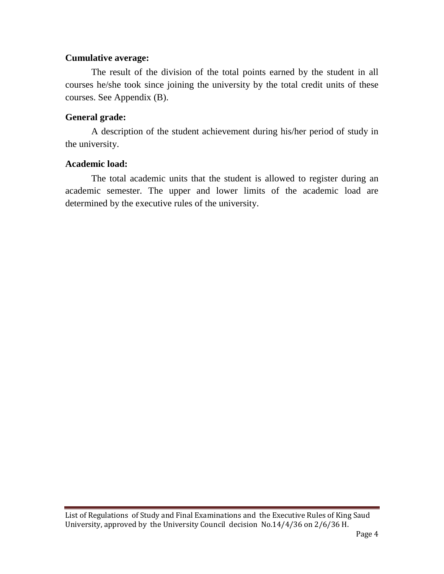#### **Cumulative average:**

The result of the division of the total points earned by the student in all courses he/she took since joining the university by the total credit units of these courses. See Appendix (B).

### **General grade:**

A description of the student achievement during his/her period of study in the university.

### **Academic load:**

The total academic units that the student is allowed to register during an academic semester. The upper and lower limits of the academic load are determined by the executive rules of the university.

List of Regulations of Study and Final Examinations and the Executive Rules of King Saud University, approved by the University Council decision No.14/4/36 on 2/6/36 H.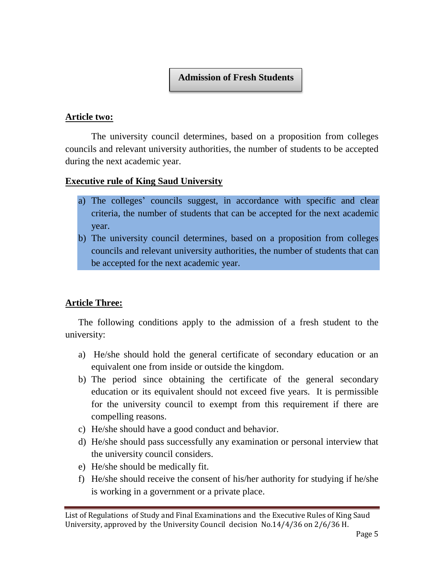### **Admission of Fresh Students**

#### **Article two:**

The university council determines, based on a proposition from colleges councils and relevant university authorities, the number of students to be accepted during the next academic year.

### **Executive rule of King Saud University**

- a) The colleges' councils suggest, in accordance with specific and clear criteria, the number of students that can be accepted for the next academic year.
- b) The university council determines, based on a proposition from colleges councils and relevant university authorities, the number of students that can be accepted for the next academic year.

### **Article Three:**

The following conditions apply to the admission of a fresh student to the university:

- a) He/she should hold the general certificate of secondary education or an equivalent one from inside or outside the kingdom.
- b) The period since obtaining the certificate of the general secondary education or its equivalent should not exceed five years. It is permissible for the university council to exempt from this requirement if there are compelling reasons.
- c) He/she should have a good conduct and behavior.
- d) He/she should pass successfully any examination or personal interview that the university council considers.
- e) He/she should be medically fit.
- f) He/she should receive the consent of his/her authority for studying if he/she is working in a government or a private place.

List of Regulations of Study and Final Examinations and the Executive Rules of King Saud University, approved by the University Council decision No.14/4/36 on 2/6/36 H.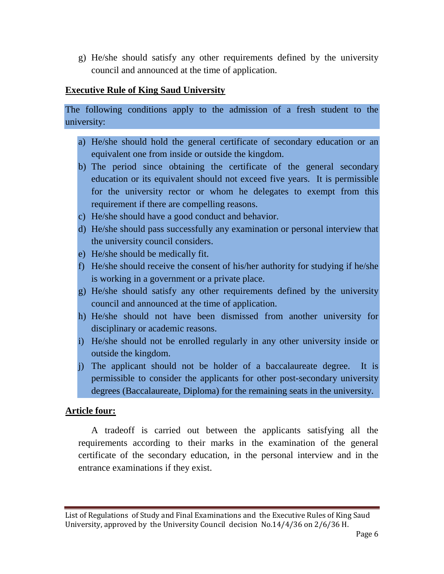g) He/she should satisfy any other requirements defined by the university council and announced at the time of application.

#### **Executive Rule of King Saud University**

The following conditions apply to the admission of a fresh student to the university:

- a) He/she should hold the general certificate of secondary education or an equivalent one from inside or outside the kingdom.
- b) The period since obtaining the certificate of the general secondary education or its equivalent should not exceed five years. It is permissible for the university rector or whom he delegates to exempt from this requirement if there are compelling reasons.
- c) He/she should have a good conduct and behavior.
- d) He/she should pass successfully any examination or personal interview that the university council considers.
- e) He/she should be medically fit.
- f) He/she should receive the consent of his/her authority for studying if he/she is working in a government or a private place.
- g) He/she should satisfy any other requirements defined by the university council and announced at the time of application.
- h) He/she should not have been dismissed from another university for disciplinary or academic reasons.
- i) He/she should not be enrolled regularly in any other university inside or outside the kingdom.
- j) The applicant should not be holder of a baccalaureate degree. It is permissible to consider the applicants for other post-secondary university degrees (Baccalaureate, Diploma) for the remaining seats in the university.

### **Article four:**

A tradeoff is carried out between the applicants satisfying all the requirements according to their marks in the examination of the general certificate of the secondary education, in the personal interview and in the entrance examinations if they exist.

List of Regulations of Study and Final Examinations and the Executive Rules of King Saud University, approved by the University Council decision No.14/4/36 on 2/6/36 H.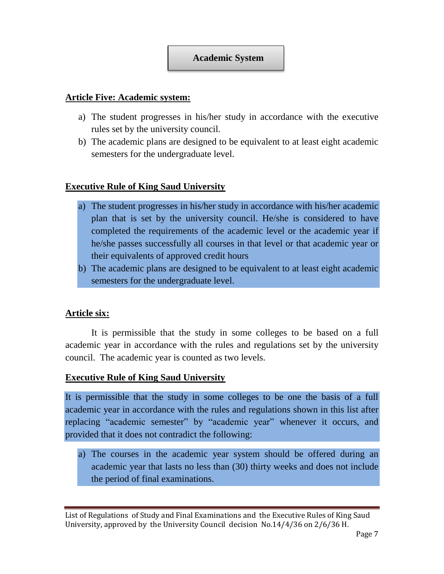### **Academic System**

#### **Article Five: Academic system:**

- a) The student progresses in his/her study in accordance with the executive rules set by the university council.
- b) The academic plans are designed to be equivalent to at least eight academic semesters for the undergraduate level.

### **Executive Rule of King Saud University**

- a) The student progresses in his/her study in accordance with his/her academic plan that is set by the university council. He/she is considered to have completed the requirements of the academic level or the academic year if he/she passes successfully all courses in that level or that academic year or their equivalents of approved credit hours
- b) The academic plans are designed to be equivalent to at least eight academic semesters for the undergraduate level.

### **Article six:**

It is permissible that the study in some colleges to be based on a full academic year in accordance with the rules and regulations set by the university council. The academic year is counted as two levels.

#### **Executive Rule of King Saud University**

It is permissible that the study in some colleges to be one the basis of a full academic year in accordance with the rules and regulations shown in this list after replacing "academic semester" by "academic year" whenever it occurs, and provided that it does not contradict the following:

a) The courses in the academic year system should be offered during an academic year that lasts no less than (30) thirty weeks and does not include the period of final examinations.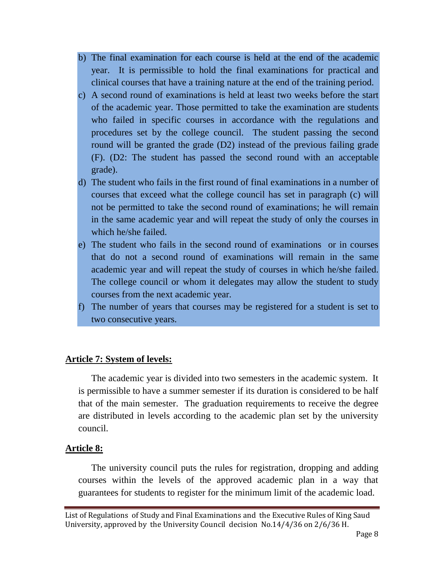- b) The final examination for each course is held at the end of the academic year. It is permissible to hold the final examinations for practical and clinical courses that have a training nature at the end of the training period.
- c) A second round of examinations is held at least two weeks before the start of the academic year. Those permitted to take the examination are students who failed in specific courses in accordance with the regulations and procedures set by the college council. The student passing the second round will be granted the grade (D2) instead of the previous failing grade (F). (D2: The student has passed the second round with an acceptable grade).
- d) The student who fails in the first round of final examinations in a number of courses that exceed what the college council has set in paragraph (c) will not be permitted to take the second round of examinations; he will remain in the same academic year and will repeat the study of only the courses in which he/she failed.
- e) The student who fails in the second round of examinations or in courses that do not a second round of examinations will remain in the same academic year and will repeat the study of courses in which he/she failed. The college council or whom it delegates may allow the student to study courses from the next academic year.
- f) The number of years that courses may be registered for a student is set to two consecutive years.

### **Article 7: System of levels:**

The academic year is divided into two semesters in the academic system. It is permissible to have a summer semester if its duration is considered to be half that of the main semester. The graduation requirements to receive the degree are distributed in levels according to the academic plan set by the university council.

#### **Article 8:**

The university council puts the rules for registration, dropping and adding courses within the levels of the approved academic plan in a way that guarantees for students to register for the minimum limit of the academic load.

List of Regulations of Study and Final Examinations and the Executive Rules of King Saud University, approved by the University Council decision No.14/4/36 on 2/6/36 H.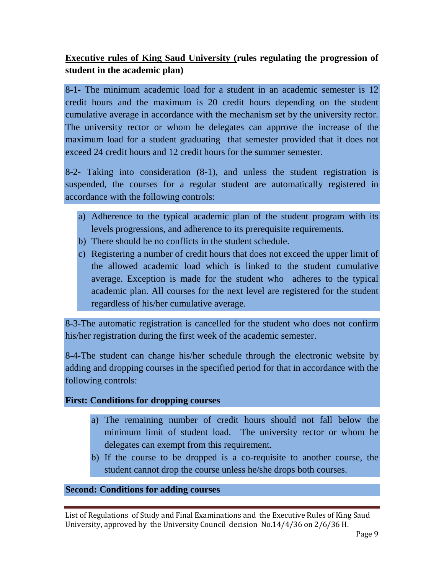### **Executive rules of King Saud University (rules regulating the progression of student in the academic plan)**

8-1- The minimum academic load for a student in an academic semester is 12 credit hours and the maximum is 20 credit hours depending on the student cumulative average in accordance with the mechanism set by the university rector. The university rector or whom he delegates can approve the increase of the maximum load for a student graduating that semester provided that it does not exceed 24 credit hours and 12 credit hours for the summer semester.

8-2- Taking into consideration (8-1), and unless the student registration is suspended, the courses for a regular student are automatically registered in accordance with the following controls:

- a) Adherence to the typical academic plan of the student program with its levels progressions, and adherence to its prerequisite requirements.
- b) There should be no conflicts in the student schedule.
- c) Registering a number of credit hours that does not exceed the upper limit of the allowed academic load which is linked to the student cumulative average. Exception is made for the student who adheres to the typical academic plan. All courses for the next level are registered for the student regardless of his/her cumulative average.

8-3-The automatic registration is cancelled for the student who does not confirm his/her registration during the first week of the academic semester.

8-4-The student can change his/her schedule through the electronic website by adding and dropping courses in the specified period for that in accordance with the following controls:

### **First: Conditions for dropping courses**

- a) The remaining number of credit hours should not fall below the minimum limit of student load. The university rector or whom he delegates can exempt from this requirement.
- b) If the course to be dropped is a co-requisite to another course, the student cannot drop the course unless he/she drops both courses.

### **Second: Conditions for adding courses**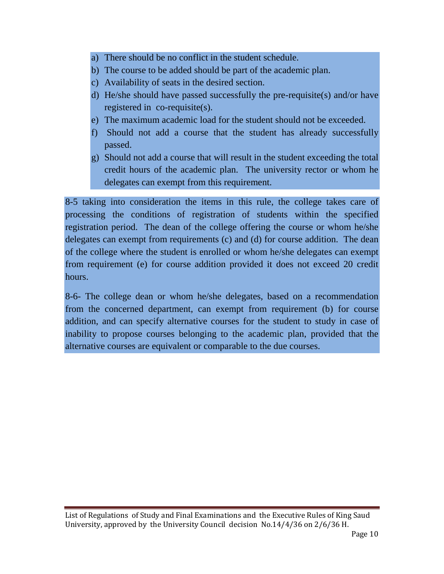- a) There should be no conflict in the student schedule.
- b) The course to be added should be part of the academic plan.
- c) Availability of seats in the desired section.
- d) He/she should have passed successfully the pre-requisite(s) and/or have registered in co-requisite(s).
- e) The maximum academic load for the student should not be exceeded.
- f) Should not add a course that the student has already successfully passed.
- g) Should not add a course that will result in the student exceeding the total credit hours of the academic plan. The university rector or whom he delegates can exempt from this requirement.

8-5 taking into consideration the items in this rule, the college takes care of processing the conditions of registration of students within the specified registration period. The dean of the college offering the course or whom he/she delegates can exempt from requirements (c) and (d) for course addition. The dean of the college where the student is enrolled or whom he/she delegates can exempt from requirement (e) for course addition provided it does not exceed 20 credit hours.

8-6- The college dean or whom he/she delegates, based on a recommendation from the concerned department, can exempt from requirement (b) for course addition, and can specify alternative courses for the student to study in case of inability to propose courses belonging to the academic plan, provided that the alternative courses are equivalent or comparable to the due courses.

List of Regulations of Study and Final Examinations and the Executive Rules of King Saud University, approved by the University Council decision No.14/4/36 on 2/6/36 H.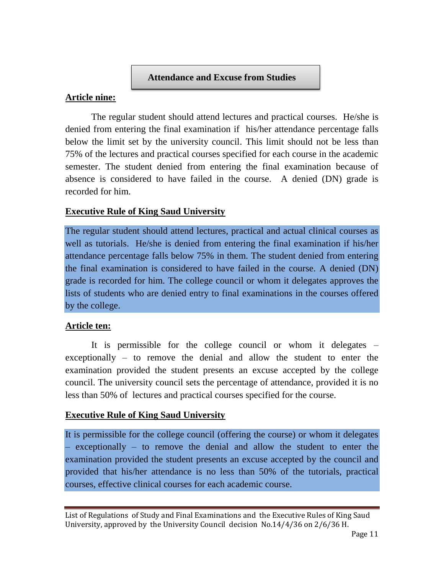#### **Attendance and Excuse from Studies**

#### **Article nine:**

The regular student should attend lectures and practical courses. He/she is denied from entering the final examination if his/her attendance percentage falls below the limit set by the university council. This limit should not be less than 75% of the lectures and practical courses specified for each course in the academic semester. The student denied from entering the final examination because of absence is considered to have failed in the course. A denied (DN) grade is recorded for him.

### **Executive Rule of King Saud University**

The regular student should attend lectures, practical and actual clinical courses as well as tutorials. He/she is denied from entering the final examination if his/her attendance percentage falls below 75% in them. The student denied from entering the final examination is considered to have failed in the course. A denied (DN) grade is recorded for him. The college council or whom it delegates approves the lists of students who are denied entry to final examinations in the courses offered by the college.

#### **Article ten:**

It is permissible for the college council or whom it delegates – exceptionally – to remove the denial and allow the student to enter the examination provided the student presents an excuse accepted by the college council. The university council sets the percentage of attendance, provided it is no less than 50% of lectures and practical courses specified for the course.

### **Executive Rule of King Saud University**

It is permissible for the college council (offering the course) or whom it delegates – exceptionally – to remove the denial and allow the student to enter the examination provided the student presents an excuse accepted by the council and provided that his/her attendance is no less than 50% of the tutorials, practical courses, effective clinical courses for each academic course.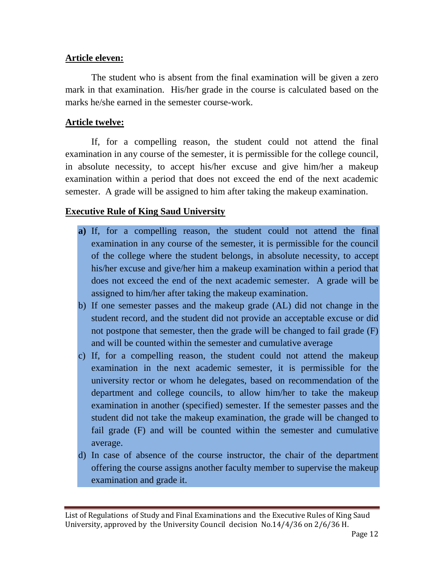#### **Article eleven:**

The student who is absent from the final examination will be given a zero mark in that examination. His/her grade in the course is calculated based on the marks he/she earned in the semester course-work.

#### **Article twelve:**

If, for a compelling reason, the student could not attend the final examination in any course of the semester, it is permissible for the college council, in absolute necessity, to accept his/her excuse and give him/her a makeup examination within a period that does not exceed the end of the next academic semester. A grade will be assigned to him after taking the makeup examination.

### **Executive Rule of King Saud University**

- **a)** If, for a compelling reason, the student could not attend the final examination in any course of the semester, it is permissible for the council of the college where the student belongs, in absolute necessity, to accept his/her excuse and give/her him a makeup examination within a period that does not exceed the end of the next academic semester. A grade will be assigned to him/her after taking the makeup examination.
- b) If one semester passes and the makeup grade (AL) did not change in the student record, and the student did not provide an acceptable excuse or did not postpone that semester, then the grade will be changed to fail grade (F) and will be counted within the semester and cumulative average
- c) If, for a compelling reason, the student could not attend the makeup examination in the next academic semester, it is permissible for the university rector or whom he delegates, based on recommendation of the department and college councils, to allow him/her to take the makeup examination in another (specified) semester. If the semester passes and the student did not take the makeup examination, the grade will be changed to fail grade (F) and will be counted within the semester and cumulative average.
- d) In case of absence of the course instructor, the chair of the department offering the course assigns another faculty member to supervise the makeup examination and grade it.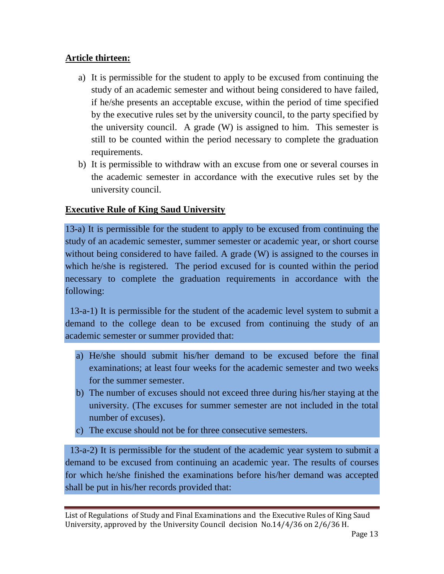### **Article thirteen:**

- a) It is permissible for the student to apply to be excused from continuing the study of an academic semester and without being considered to have failed, if he/she presents an acceptable excuse, within the period of time specified by the executive rules set by the university council, to the party specified by the university council. A grade (W) is assigned to him. This semester is still to be counted within the period necessary to complete the graduation requirements.
- b) It is permissible to withdraw with an excuse from one or several courses in the academic semester in accordance with the executive rules set by the university council.

### **Executive Rule of King Saud University**

13-a) It is permissible for the student to apply to be excused from continuing the study of an academic semester, summer semester or academic year, or short course without being considered to have failed. A grade (W) is assigned to the courses in which he/she is registered. The period excused for is counted within the period necessary to complete the graduation requirements in accordance with the following:

 13-a-1) It is permissible for the student of the academic level system to submit a demand to the college dean to be excused from continuing the study of an academic semester or summer provided that:

- a) He/she should submit his/her demand to be excused before the final examinations; at least four weeks for the academic semester and two weeks for the summer semester.
- b) The number of excuses should not exceed three during his/her staying at the university. (The excuses for summer semester are not included in the total number of excuses).
- c) The excuse should not be for three consecutive semesters.

 13-a-2) It is permissible for the student of the academic year system to submit a demand to be excused from continuing an academic year. The results of courses for which he/she finished the examinations before his/her demand was accepted shall be put in his/her records provided that: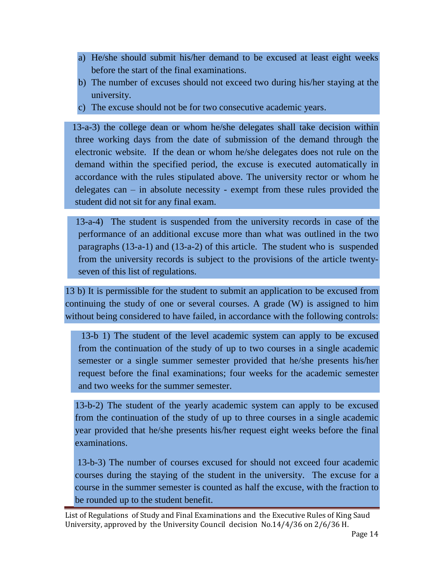- a) He/she should submit his/her demand to be excused at least eight weeks before the start of the final examinations.
- b) The number of excuses should not exceed two during his/her staying at the university.
- c) The excuse should not be for two consecutive academic years.

 13-a-3) the college dean or whom he/she delegates shall take decision within three working days from the date of submission of the demand through the electronic website. If the dean or whom he/she delegates does not rule on the demand within the specified period, the excuse is executed automatically in accordance with the rules stipulated above. The university rector or whom he delegates can – in absolute necessity - exempt from these rules provided the student did not sit for any final exam.

 13-a-4) The student is suspended from the university records in case of the performance of an additional excuse more than what was outlined in the two paragraphs (13-a-1) and (13-a-2) of this article. The student who is suspended from the university records is subject to the provisions of the article twentyseven of this list of regulations.

13 b) It is permissible for the student to submit an application to be excused from continuing the study of one or several courses. A grade (W) is assigned to him without being considered to have failed, in accordance with the following controls:

 13-b 1) The student of the level academic system can apply to be excused from the continuation of the study of up to two courses in a single academic semester or a single summer semester provided that he/she presents his/her request before the final examinations; four weeks for the academic semester and two weeks for the summer semester.

13-b-2) The student of the yearly academic system can apply to be excused from the continuation of the study of up to three courses in a single academic year provided that he/she presents his/her request eight weeks before the final examinations.

13-b-3) The number of courses excused for should not exceed four academic courses during the staying of the student in the university. The excuse for a course in the summer semester is counted as half the excuse, with the fraction to be rounded up to the student benefit.

List of Regulations of Study and Final Examinations and the Executive Rules of King Saud University, approved by the University Council decision No.14/4/36 on 2/6/36 H.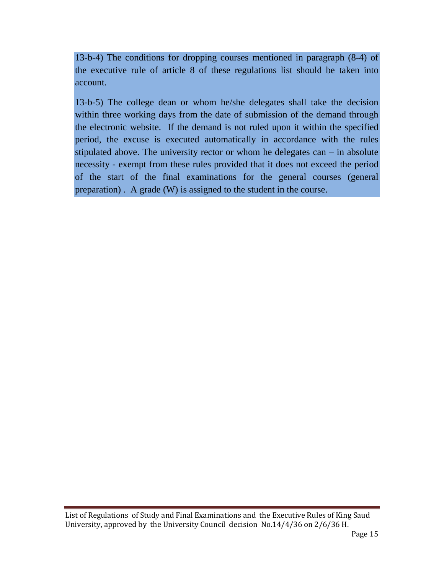13-b-4) The conditions for dropping courses mentioned in paragraph (8-4) of the executive rule of article 8 of these regulations list should be taken into account.

13-b-5) The college dean or whom he/she delegates shall take the decision within three working days from the date of submission of the demand through the electronic website. If the demand is not ruled upon it within the specified period, the excuse is executed automatically in accordance with the rules stipulated above. The university rector or whom he delegates can – in absolute necessity - exempt from these rules provided that it does not exceed the period of the start of the final examinations for the general courses (general preparation) . A grade (W) is assigned to the student in the course.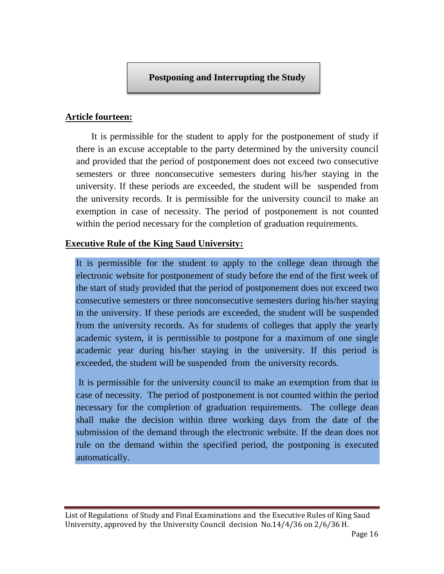### **Article fourteen:**

It is permissible for the student to apply for the postponement of study if there is an excuse acceptable to the party determined by the university council and provided that the period of postponement does not exceed two consecutive semesters or three nonconsecutive semesters during his/her staying in the university. If these periods are exceeded, the student will be suspended from the university records. It is permissible for the university council to make an exemption in case of necessity. The period of postponement is not counted within the period necessary for the completion of graduation requirements.

### **Executive Rule of the King Saud University:**

It is permissible for the student to apply to the college dean through the electronic website for postponement of study before the end of the first week of the start of study provided that the period of postponement does not exceed two consecutive semesters or three nonconsecutive semesters during his/her staying in the university. If these periods are exceeded, the student will be suspended from the university records. As for students of colleges that apply the yearly academic system, it is permissible to postpone for a maximum of one single academic year during his/her staying in the university. If this period is exceeded, the student will be suspended from the university records.

It is permissible for the university council to make an exemption from that in case of necessity. The period of postponement is not counted within the period necessary for the completion of graduation requirements. The college dean shall make the decision within three working days from the date of the submission of the demand through the electronic website. If the dean does not rule on the demand within the specified period, the postponing is executed automatically.

List of Regulations of Study and Final Examinations and the Executive Rules of King Saud University, approved by the University Council decision No.14/4/36 on 2/6/36 H.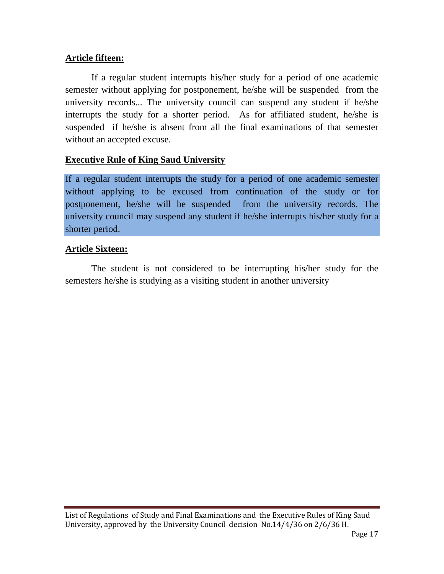### **Article fifteen:**

If a regular student interrupts his/her study for a period of one academic semester without applying for postponement, he/she will be suspended from the university records... The university council can suspend any student if he/she interrupts the study for a shorter period. As for affiliated student, he/she is suspended if he/she is absent from all the final examinations of that semester without an accepted excuse.

### **Executive Rule of King Saud University**

If a regular student interrupts the study for a period of one academic semester without applying to be excused from continuation of the study or for postponement, he/she will be suspended from the university records. The university council may suspend any student if he/she interrupts his/her study for a shorter period.

### **Article Sixteen:**

The student is not considered to be interrupting his/her study for the semesters he/she is studying as a visiting student in another university

List of Regulations of Study and Final Examinations and the Executive Rules of King Saud University, approved by the University Council decision No.14/4/36 on 2/6/36 H.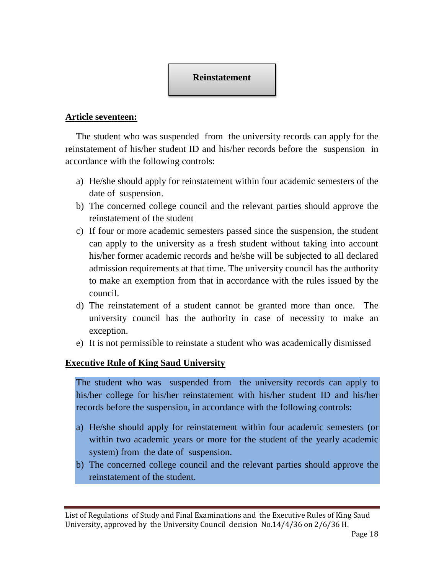

### **Article seventeen:**

The student who was suspended from the university records can apply for the reinstatement of his/her student ID and his/her records before the suspension in accordance with the following controls:

- a) He/she should apply for reinstatement within four academic semesters of the date of suspension.
- b) The concerned college council and the relevant parties should approve the reinstatement of the student
- c) If four or more academic semesters passed since the suspension, the student can apply to the university as a fresh student without taking into account his/her former academic records and he/she will be subjected to all declared admission requirements at that time. The university council has the authority to make an exemption from that in accordance with the rules issued by the council.
- d) The reinstatement of a student cannot be granted more than once. The university council has the authority in case of necessity to make an exception.
- e) It is not permissible to reinstate a student who was academically dismissed

### **Executive Rule of King Saud University**

The student who was suspended from the university records can apply to his/her college for his/her reinstatement with his/her student ID and his/her records before the suspension, in accordance with the following controls:

- a) He/she should apply for reinstatement within four academic semesters (or within two academic years or more for the student of the yearly academic system) from the date of suspension.
- b) The concerned college council and the relevant parties should approve the reinstatement of the student.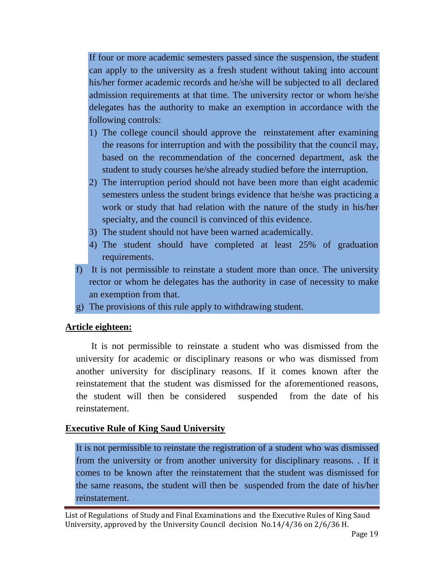If four or more academic semesters passed since the suspension, the student can apply to the university as a fresh student without taking into account his/her former academic records and he/she will be subjected to all declared admission requirements at that time. The university rector or whom he/she delegates has the authority to make an exemption in accordance with the following controls:

- 1) The college council should approve the reinstatement after examining the reasons for interruption and with the possibility that the council may, based on the recommendation of the concerned department, ask the student to study courses he/she already studied before the interruption.
- 2) The interruption period should not have been more than eight academic semesters unless the student brings evidence that he/she was practicing a work or study that had relation with the nature of the study in his/her specialty, and the council is convinced of this evidence.
- 3) The student should not have been warned academically.
- 4) The student should have completed at least 25% of graduation requirements.
- f) It is not permissible to reinstate a student more than once. The university rector or whom he delegates has the authority in case of necessity to make an exemption from that.
- g) The provisions of this rule apply to withdrawing student.

### **Article eighteen:**

It is not permissible to reinstate a student who was dismissed from the university for academic or disciplinary reasons or who was dismissed from another university for disciplinary reasons. If it comes known after the reinstatement that the student was dismissed for the aforementioned reasons, the student will then be considered suspended from the date of his reinstatement.

### **Executive Rule of King Saud University**

It is not permissible to reinstate the registration of a student who was dismissed from the university or from another university for disciplinary reasons. . If it comes to be known after the reinstatement that the student was dismissed for the same reasons, the student will then be suspended from the date of his/her reinstatement.

List of Regulations of Study and Final Examinations and the Executive Rules of King Saud University, approved by the University Council decision No.14/4/36 on 2/6/36 H.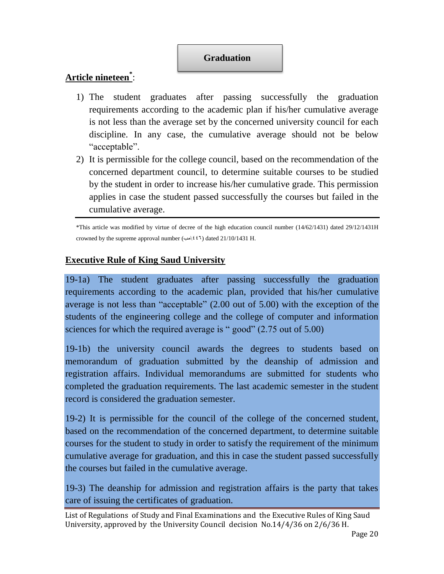### **Graduation**

### **Article nineteen \*** :

- 1) The student graduates after passing successfully the graduation requirements according to the academic plan if his/her cumulative average is not less than the average set by the concerned university council for each discipline. In any case, the cumulative average should not be below "acceptable".
- 2) It is permissible for the college council, based on the recommendation of the concerned department council, to determine suitable courses to be studied by the student in order to increase his/her cumulative grade. This permission applies in case the student passed successfully the courses but failed in the cumulative average.

\*This article was modified by virtue of decree of the high education council number (14/62/1431) dated 29/12/1431H crowned by the supreme approval number ( $\leftrightarrow$   $(4\sqrt{24})$  dated 21/10/1431 H.

### **Executive Rule of King Saud University**

19-1a) The student graduates after passing successfully the graduation requirements according to the academic plan, provided that his/her cumulative average is not less than "acceptable" (2.00 out of 5.00) with the exception of the students of the engineering college and the college of computer and information sciences for which the required average is " good" (2.75 out of 5.00)

19-1b) the university council awards the degrees to students based on memorandum of graduation submitted by the deanship of admission and registration affairs. Individual memorandums are submitted for students who completed the graduation requirements. The last academic semester in the student record is considered the graduation semester.

19-2) It is permissible for the council of the college of the concerned student, based on the recommendation of the concerned department, to determine suitable courses for the student to study in order to satisfy the requirement of the minimum cumulative average for graduation, and this in case the student passed successfully the courses but failed in the cumulative average.

19-3) The deanship for admission and registration affairs is the party that takes care of issuing the certificates of graduation.

List of Regulations of Study and Final Examinations and the Executive Rules of King Saud University, approved by the University Council decision No.14/4/36 on 2/6/36 H.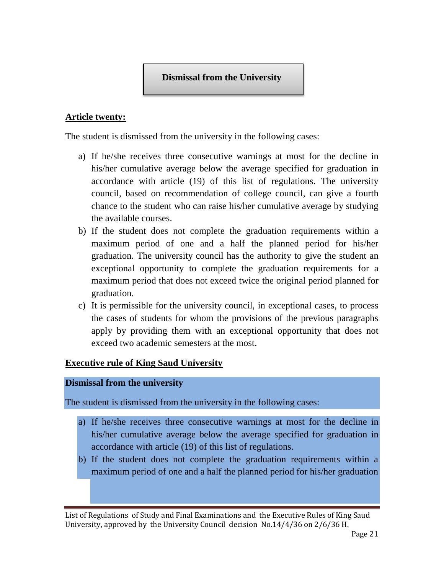### **Article twenty:**

The student is dismissed from the university in the following cases:

- a) If he/she receives three consecutive warnings at most for the decline in his/her cumulative average below the average specified for graduation in accordance with article (19) of this list of regulations. The university council, based on recommendation of college council, can give a fourth chance to the student who can raise his/her cumulative average by studying the available courses.
- b) If the student does not complete the graduation requirements within a maximum period of one and a half the planned period for his/her graduation. The university council has the authority to give the student an exceptional opportunity to complete the graduation requirements for a maximum period that does not exceed twice the original period planned for graduation.
- c) It is permissible for the university council, in exceptional cases, to process the cases of students for whom the provisions of the previous paragraphs apply by providing them with an exceptional opportunity that does not exceed two academic semesters at the most.

### **Executive rule of King Saud University**

#### **Dismissal from the university**

The student is dismissed from the university in the following cases:

- a) If he/she receives three consecutive warnings at most for the decline in his/her cumulative average below the average specified for graduation in accordance with article (19) of this list of regulations.
- b) If the student does not complete the graduation requirements within a maximum period of one and a half the planned period for his/her graduation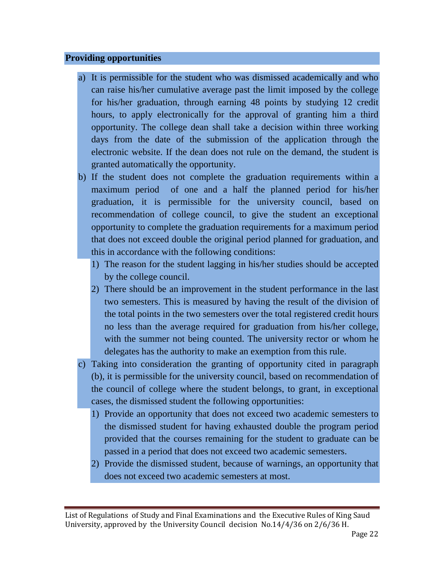#### **Providing opportunities**

- a) It is permissible for the student who was dismissed academically and who can raise his/her cumulative average past the limit imposed by the college for his/her graduation, through earning 48 points by studying 12 credit hours, to apply electronically for the approval of granting him a third opportunity. The college dean shall take a decision within three working days from the date of the submission of the application through the electronic website. If the dean does not rule on the demand, the student is granted automatically the opportunity.
- b) If the student does not complete the graduation requirements within a maximum period of one and a half the planned period for his/her graduation, it is permissible for the university council, based on recommendation of college council, to give the student an exceptional opportunity to complete the graduation requirements for a maximum period that does not exceed double the original period planned for graduation, and this in accordance with the following conditions:
	- 1) The reason for the student lagging in his/her studies should be accepted by the college council.
	- 2) There should be an improvement in the student performance in the last two semesters. This is measured by having the result of the division of the total points in the two semesters over the total registered credit hours no less than the average required for graduation from his/her college, with the summer not being counted. The university rector or whom he delegates has the authority to make an exemption from this rule.
- c) Taking into consideration the granting of opportunity cited in paragraph (b), it is permissible for the university council, based on recommendation of the council of college where the student belongs, to grant, in exceptional cases, the dismissed student the following opportunities:
	- 1) Provide an opportunity that does not exceed two academic semesters to the dismissed student for having exhausted double the program period provided that the courses remaining for the student to graduate can be passed in a period that does not exceed two academic semesters.
	- 2) Provide the dismissed student, because of warnings, an opportunity that does not exceed two academic semesters at most.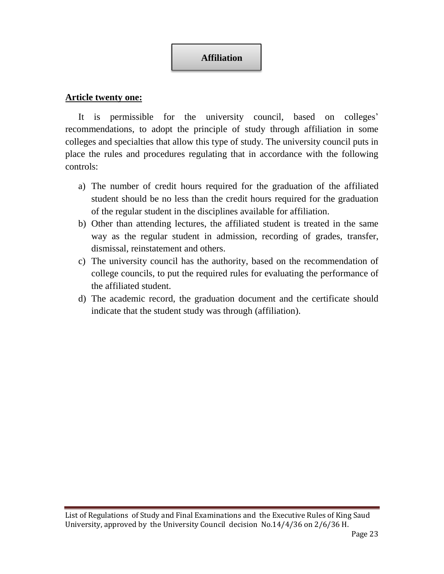# **Affiliation**

### **Article twenty one:**

It is permissible for the university council, based on colleges' recommendations, to adopt the principle of study through affiliation in some colleges and specialties that allow this type of study. The university council puts in place the rules and procedures regulating that in accordance with the following controls:

- a) The number of credit hours required for the graduation of the affiliated student should be no less than the credit hours required for the graduation of the regular student in the disciplines available for affiliation.
- b) Other than attending lectures, the affiliated student is treated in the same way as the regular student in admission, recording of grades, transfer, dismissal, reinstatement and others.
- c) The university council has the authority, based on the recommendation of college councils, to put the required rules for evaluating the performance of the affiliated student.
- d) The academic record, the graduation document and the certificate should indicate that the student study was through (affiliation).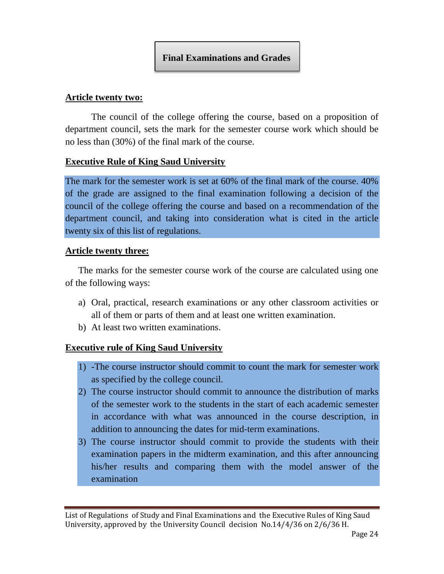### **Article twenty two:**

The council of the college offering the course, based on a proposition of department council, sets the mark for the semester course work which should be no less than (30%) of the final mark of the course.

#### **Executive Rule of King Saud University**

The mark for the semester work is set at 60% of the final mark of the course. 40% of the grade are assigned to the final examination following a decision of the council of the college offering the course and based on a recommendation of the department council, and taking into consideration what is cited in the article twenty six of this list of regulations.

#### **Article twenty three:**

The marks for the semester course work of the course are calculated using one of the following ways:

- a) Oral, practical, research examinations or any other classroom activities or all of them or parts of them and at least one written examination.
- b) At least two written examinations.

### **Executive rule of King Saud University**

- 1) -The course instructor should commit to count the mark for semester work as specified by the college council.
- 2) The course instructor should commit to announce the distribution of marks of the semester work to the students in the start of each academic semester in accordance with what was announced in the course description, in addition to announcing the dates for mid-term examinations.
- 3) The course instructor should commit to provide the students with their examination papers in the midterm examination, and this after announcing his/her results and comparing them with the model answer of the examination

List of Regulations of Study and Final Examinations and the Executive Rules of King Saud University, approved by the University Council decision No.14/4/36 on 2/6/36 H.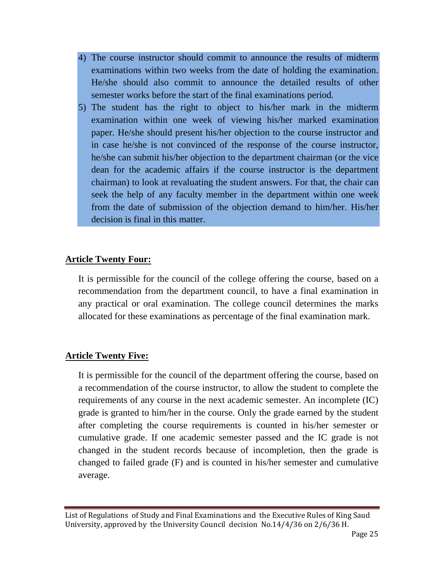- 4) The course instructor should commit to announce the results of midterm examinations within two weeks from the date of holding the examination. He/she should also commit to announce the detailed results of other semester works before the start of the final examinations period.
- 5) The student has the right to object to his/her mark in the midterm examination within one week of viewing his/her marked examination paper. He/she should present his/her objection to the course instructor and in case he/she is not convinced of the response of the course instructor, he/she can submit his/her objection to the department chairman (or the vice dean for the academic affairs if the course instructor is the department chairman) to look at revaluating the student answers. For that, the chair can seek the help of any faculty member in the department within one week from the date of submission of the objection demand to him/her. His/her decision is final in this matter.

### **Article Twenty Four:**

It is permissible for the council of the college offering the course, based on a recommendation from the department council, to have a final examination in any practical or oral examination. The college council determines the marks allocated for these examinations as percentage of the final examination mark.

### **Article Twenty Five:**

It is permissible for the council of the department offering the course, based on a recommendation of the course instructor, to allow the student to complete the requirements of any course in the next academic semester. An incomplete (IC) grade is granted to him/her in the course. Only the grade earned by the student after completing the course requirements is counted in his/her semester or cumulative grade. If one academic semester passed and the IC grade is not changed in the student records because of incompletion, then the grade is changed to failed grade (F) and is counted in his/her semester and cumulative average.

List of Regulations of Study and Final Examinations and the Executive Rules of King Saud University, approved by the University Council decision No.14/4/36 on 2/6/36 H.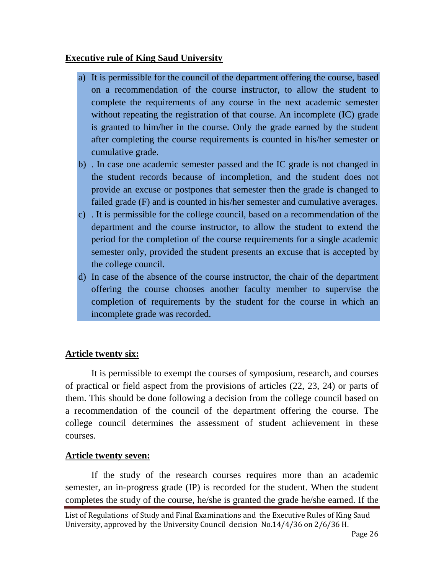### **Executive rule of King Saud University**

- a) It is permissible for the council of the department offering the course, based on a recommendation of the course instructor, to allow the student to complete the requirements of any course in the next academic semester without repeating the registration of that course. An incomplete (IC) grade is granted to him/her in the course. Only the grade earned by the student after completing the course requirements is counted in his/her semester or cumulative grade.
- b) . In case one academic semester passed and the IC grade is not changed in the student records because of incompletion, and the student does not provide an excuse or postpones that semester then the grade is changed to failed grade (F) and is counted in his/her semester and cumulative averages.
- c) . It is permissible for the college council, based on a recommendation of the department and the course instructor, to allow the student to extend the period for the completion of the course requirements for a single academic semester only, provided the student presents an excuse that is accepted by the college council.
- d) In case of the absence of the course instructor, the chair of the department offering the course chooses another faculty member to supervise the completion of requirements by the student for the course in which an incomplete grade was recorded.

### **Article twenty six:**

It is permissible to exempt the courses of symposium, research, and courses of practical or field aspect from the provisions of articles (22, 23, 24) or parts of them. This should be done following a decision from the college council based on a recommendation of the council of the department offering the course. The college council determines the assessment of student achievement in these courses.

### **Article twenty seven:**

If the study of the research courses requires more than an academic semester, an in-progress grade (IP) is recorded for the student. When the student completes the study of the course, he/she is granted the grade he/she earned. If the

List of Regulations of Study and Final Examinations and the Executive Rules of King Saud University, approved by the University Council decision No.14/4/36 on 2/6/36 H.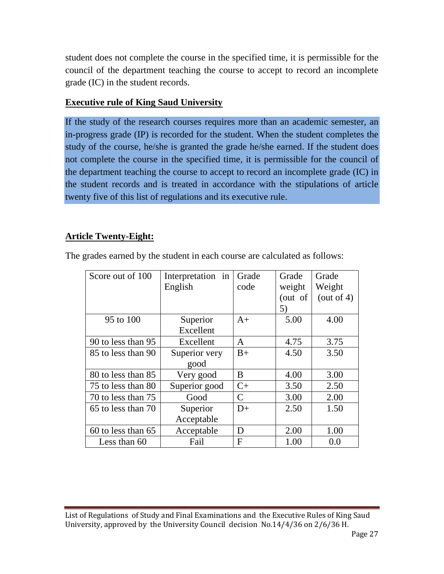student does not complete the course in the specified time, it is permissible for the council of the department teaching the course to accept to record an incomplete grade (IC) in the student records.

### **Executive rule of King Saud University**

If the study of the research courses requires more than an academic semester, an in-progress grade (IP) is recorded for the student. When the student completes the study of the course, he/she is granted the grade he/she earned. If the student does not complete the course in the specified time, it is permissible for the council of the department teaching the course to accept to record an incomplete grade (IC) in the student records and is treated in accordance with the stipulations of article twenty five of this list of regulations and its executive rule.

### **Article Twenty-Eight:**

| Score out of 100   | Interpretation in | Grade         | Grade   | Grade         |
|--------------------|-------------------|---------------|---------|---------------|
|                    | English           | code          | weight  | Weight        |
|                    |                   |               | (out of | (out of $4$ ) |
|                    |                   |               | 5)      |               |
| 95 to 100          | Superior          | $A+$          | 5.00    | 4.00          |
|                    | Excellent         |               |         |               |
| 90 to less than 95 | Excellent         | A             | 4.75    | 3.75          |
| 85 to less than 90 | Superior very     |               | 4.50    | 3.50          |
|                    | good              |               |         |               |
| 80 to less than 85 | Very good         | B             | 4.00    | 3.00          |
| 75 to less than 80 | Superior good     | $C+$          | 3.50    | 2.50          |
| 70 to less than 75 | Good              | $\mathcal{C}$ | 3.00    | 2.00          |
| 65 to less than 70 | Superior          | $D+$          | 2.50    | 1.50          |
|                    | Acceptable        |               |         |               |
| 60 to less than 65 | Acceptable        | D             | 2.00    | 1.00          |
| Less than 60       | Fail              | F             | 1.00    | 0.0           |

The grades earned by the student in each course are calculated as follows: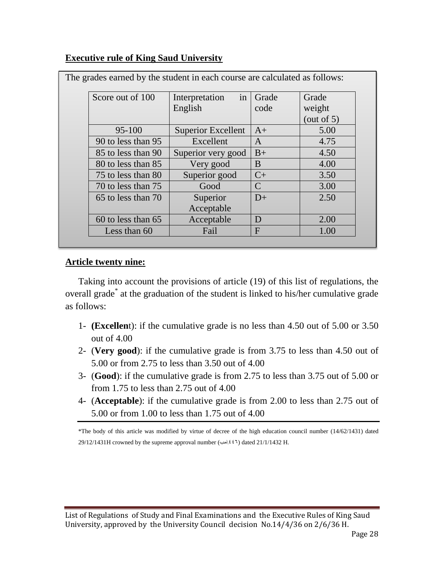### **Executive rule of King Saud University**

| Score out of 100   | in<br>Interpretation      | Grade         | Grade         |
|--------------------|---------------------------|---------------|---------------|
|                    | English                   | code          | weight        |
|                    |                           |               | (out of $5$ ) |
| $95 - 100$         | <b>Superior Excellent</b> | $A+$          | 5.00          |
| 90 to less than 95 | Excellent                 | $\mathbf{A}$  | 4.75          |
| 85 to less than 90 | Superior very good        | $B+$          | 4.50          |
| 80 to less than 85 | Very good                 | B             | 4.00          |
| 75 to less than 80 | Superior good             | $C+$          | 3.50          |
| 70 to less than 75 | Good                      | $\mathcal{C}$ | 3.00          |
| 65 to less than 70 | Superior                  | $D+$          | 2.50          |
|                    | Acceptable                |               |               |
| 60 to less than 65 | Acceptable                | D             | 2.00          |
| Less than 60       | Fail                      | $\mathbf{F}$  | 1.00          |

The grades earned by the student in each course are calculated as follows:

#### **Article twenty nine:**

Taking into account the provisions of article (19) of this list of regulations, the overall grade\* at the graduation of the student is linked to his/her cumulative grade as follows:

- 1- **(Excellen**t): if the cumulative grade is no less than 4.50 out of 5.00 or 3.50 out of 4.00
- 2- (**Very good**): if the cumulative grade is from 3.75 to less than 4.50 out of 5.00 or from 2.75 to less than 3.50 out of 4.00
- 3- (**Good**): if the cumulative grade is from 2.75 to less than 3.75 out of 5.00 or from 1.75 to less than 2.75 out of 4.00
- 4- (**Acceptable**): if the cumulative grade is from 2.00 to less than 2.75 out of 5.00 or from 1.00 to less than 1.75 out of 4.00

\*The body of this article was modified by virtue of decree of the high education council number (14/62/1431) dated 29/12/1431H crowned by the supreme approval number ( $\leftrightarrow$ 441) dated 21/1/1432 H.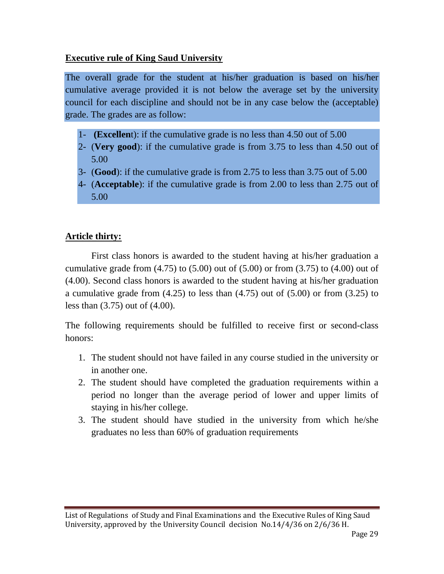### **Executive rule of King Saud University**

The overall grade for the student at his/her graduation is based on his/her cumulative average provided it is not below the average set by the university council for each discipline and should not be in any case below the (acceptable) grade. The grades are as follow:

- 1- **(Excellen**t): if the cumulative grade is no less than 4.50 out of 5.00
- 2- (**Very good**): if the cumulative grade is from 3.75 to less than 4.50 out of 5.00
- 3- (**Good**): if the cumulative grade is from 2.75 to less than 3.75 out of 5.00
- 4- (**Acceptable**): if the cumulative grade is from 2.00 to less than 2.75 out of 5.00

### **Article thirty:**

First class honors is awarded to the student having at his/her graduation a cumulative grade from  $(4.75)$  to  $(5.00)$  out of  $(5.00)$  or from  $(3.75)$  to  $(4.00)$  out of (4.00). Second class honors is awarded to the student having at his/her graduation a cumulative grade from (4.25) to less than (4.75) out of (5.00) or from (3.25) to less than (3.75) out of (4.00).

The following requirements should be fulfilled to receive first or second-class honors:

- 1. The student should not have failed in any course studied in the university or in another one.
- 2. The student should have completed the graduation requirements within a period no longer than the average period of lower and upper limits of staying in his/her college.
- 3. The student should have studied in the university from which he/she graduates no less than 60% of graduation requirements

List of Regulations of Study and Final Examinations and the Executive Rules of King Saud University, approved by the University Council decision No.14/4/36 on 2/6/36 H.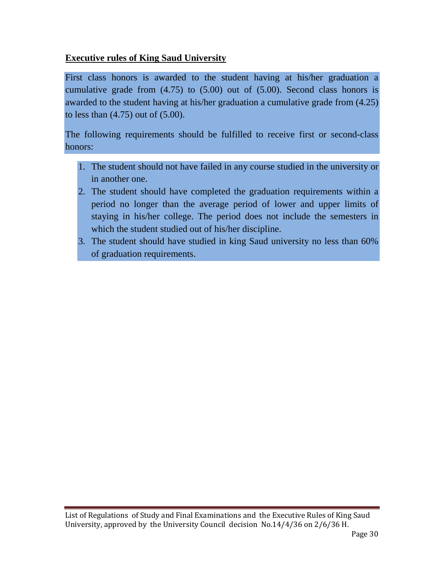### **Executive rules of King Saud University**

First class honors is awarded to the student having at his/her graduation a cumulative grade from (4.75) to (5.00) out of (5.00). Second class honors is awarded to the student having at his/her graduation a cumulative grade from (4.25) to less than (4.75) out of (5.00).

The following requirements should be fulfilled to receive first or second-class honors:

- 1. The student should not have failed in any course studied in the university or in another one.
- 2. The student should have completed the graduation requirements within a period no longer than the average period of lower and upper limits of staying in his/her college. The period does not include the semesters in which the student studied out of his/her discipline.
- 3. The student should have studied in king Saud university no less than 60% of graduation requirements.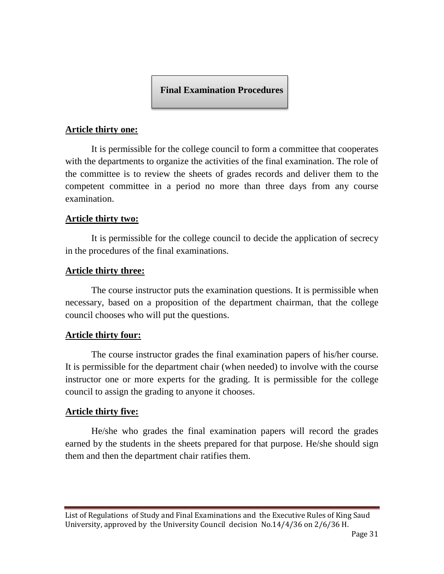**Final Examination Procedures**

#### **Article thirty one:**

It is permissible for the college council to form a committee that cooperates with the departments to organize the activities of the final examination. The role of the committee is to review the sheets of grades records and deliver them to the competent committee in a period no more than three days from any course examination.

#### **Article thirty two:**

It is permissible for the college council to decide the application of secrecy in the procedures of the final examinations.

#### **Article thirty three:**

The course instructor puts the examination questions. It is permissible when necessary, based on a proposition of the department chairman, that the college council chooses who will put the questions.

### **Article thirty four:**

The course instructor grades the final examination papers of his/her course. It is permissible for the department chair (when needed) to involve with the course instructor one or more experts for the grading. It is permissible for the college council to assign the grading to anyone it chooses.

### **Article thirty five:**

He/she who grades the final examination papers will record the grades earned by the students in the sheets prepared for that purpose. He/she should sign them and then the department chair ratifies them.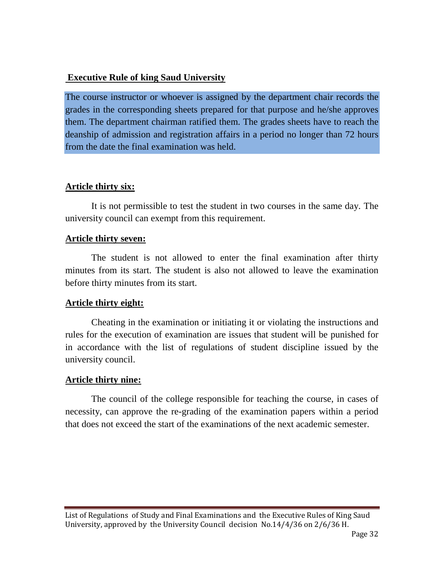#### **Executive Rule of king Saud University**

The course instructor or whoever is assigned by the department chair records the grades in the corresponding sheets prepared for that purpose and he/she approves them. The department chairman ratified them. The grades sheets have to reach the deanship of admission and registration affairs in a period no longer than 72 hours from the date the final examination was held.

#### **Article thirty six:**

It is not permissible to test the student in two courses in the same day. The university council can exempt from this requirement.

#### **Article thirty seven:**

The student is not allowed to enter the final examination after thirty minutes from its start. The student is also not allowed to leave the examination before thirty minutes from its start.

### **Article thirty eight:**

Cheating in the examination or initiating it or violating the instructions and rules for the execution of examination are issues that student will be punished for in accordance with the list of regulations of student discipline issued by the university council.

### **Article thirty nine:**

The council of the college responsible for teaching the course, in cases of necessity, can approve the re-grading of the examination papers within a period that does not exceed the start of the examinations of the next academic semester.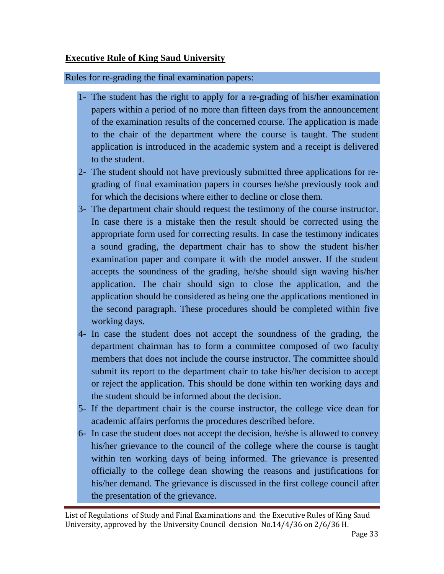### **Executive Rule of King Saud University**

Rules for re-grading the final examination papers:

- 1- The student has the right to apply for a re-grading of his/her examination papers within a period of no more than fifteen days from the announcement of the examination results of the concerned course. The application is made to the chair of the department where the course is taught. The student application is introduced in the academic system and a receipt is delivered to the student.
- 2- The student should not have previously submitted three applications for regrading of final examination papers in courses he/she previously took and for which the decisions where either to decline or close them.
- 3- The department chair should request the testimony of the course instructor. In case there is a mistake then the result should be corrected using the appropriate form used for correcting results. In case the testimony indicates a sound grading, the department chair has to show the student his/her examination paper and compare it with the model answer. If the student accepts the soundness of the grading, he/she should sign waving his/her application. The chair should sign to close the application, and the application should be considered as being one the applications mentioned in the second paragraph. These procedures should be completed within five working days.
- 4- In case the student does not accept the soundness of the grading, the department chairman has to form a committee composed of two faculty members that does not include the course instructor. The committee should submit its report to the department chair to take his/her decision to accept or reject the application. This should be done within ten working days and the student should be informed about the decision.
- 5- If the department chair is the course instructor, the college vice dean for academic affairs performs the procedures described before.
- 6- In case the student does not accept the decision, he/she is allowed to convey his/her grievance to the council of the college where the course is taught within ten working days of being informed. The grievance is presented officially to the college dean showing the reasons and justifications for his/her demand. The grievance is discussed in the first college council after the presentation of the grievance.

List of Regulations of Study and Final Examinations and the Executive Rules of King Saud University, approved by the University Council decision No.14/4/36 on 2/6/36 H.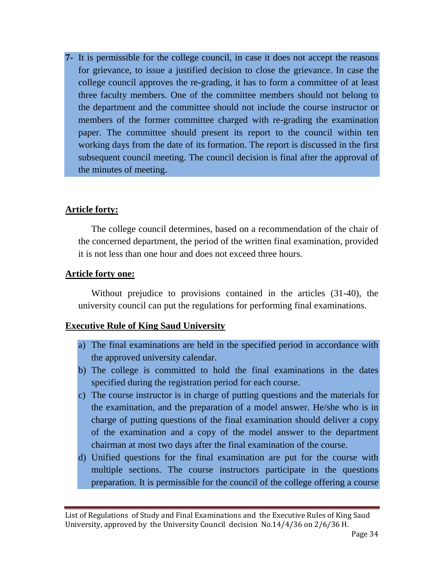**7-** It is permissible for the college council, in case it does not accept the reasons for grievance, to issue a justified decision to close the grievance. In case the college council approves the re-grading, it has to form a committee of at least three faculty members. One of the committee members should not belong to the department and the committee should not include the course instructor or members of the former committee charged with re-grading the examination paper. The committee should present its report to the council within ten working days from the date of its formation. The report is discussed in the first subsequent council meeting. The council decision is final after the approval of the minutes of meeting.

#### **Article forty:**

The college council determines, based on a recommendation of the chair of the concerned department, the period of the written final examination, provided it is not less than one hour and does not exceed three hours.

#### **Article forty one:**

Without prejudice to provisions contained in the articles (31-40), the university council can put the regulations for performing final examinations.

### **Executive Rule of King Saud University**

- a) The final examinations are held in the specified period in accordance with the approved university calendar.
- b) The college is committed to hold the final examinations in the dates specified during the registration period for each course.
- c) The course instructor is in charge of putting questions and the materials for the examination, and the preparation of a model answer. He/she who is in charge of putting questions of the final examination should deliver a copy of the examination and a copy of the model answer to the department chairman at most two days after the final examination of the course.
- d) Unified questions for the final examination are put for the course with multiple sections. The course instructors participate in the questions preparation. It is permissible for the council of the college offering a course

List of Regulations of Study and Final Examinations and the Executive Rules of King Saud University, approved by the University Council decision No.14/4/36 on 2/6/36 H.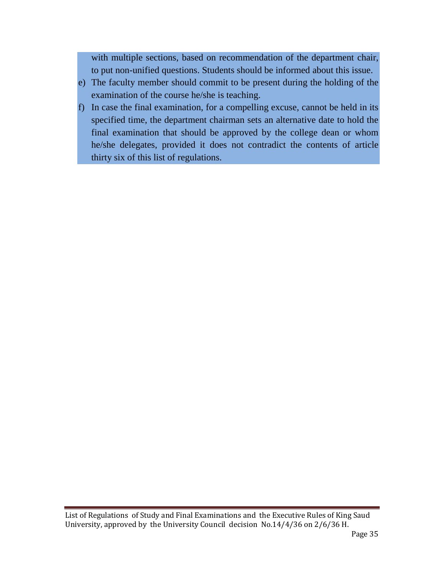with multiple sections, based on recommendation of the department chair, to put non-unified questions. Students should be informed about this issue.

- e) The faculty member should commit to be present during the holding of the examination of the course he/she is teaching.
- f) In case the final examination, for a compelling excuse, cannot be held in its specified time, the department chairman sets an alternative date to hold the final examination that should be approved by the college dean or whom he/she delegates, provided it does not contradict the contents of article thirty six of this list of regulations.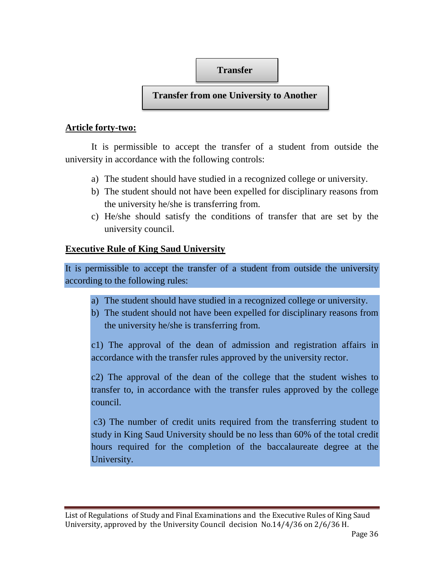### **Transfer**

### **Transfer from one University to Another**

### **Article forty-two:**

It is permissible to accept the transfer of a student from outside the university in accordance with the following controls:

- a) The student should have studied in a recognized college or university.
- b) The student should not have been expelled for disciplinary reasons from the university he/she is transferring from.
- c) He/she should satisfy the conditions of transfer that are set by the university council.

### **Executive Rule of King Saud University**

It is permissible to accept the transfer of a student from outside the university according to the following rules:

- a) The student should have studied in a recognized college or university.
- b) The student should not have been expelled for disciplinary reasons from the university he/she is transferring from.

c1) The approval of the dean of admission and registration affairs in accordance with the transfer rules approved by the university rector.

c2) The approval of the dean of the college that the student wishes to transfer to, in accordance with the transfer rules approved by the college council.

c3) The number of credit units required from the transferring student to study in King Saud University should be no less than 60% of the total credit hours required for the completion of the baccalaureate degree at the University.

List of Regulations of Study and Final Examinations and the Executive Rules of King Saud University, approved by the University Council decision No.14/4/36 on 2/6/36 H.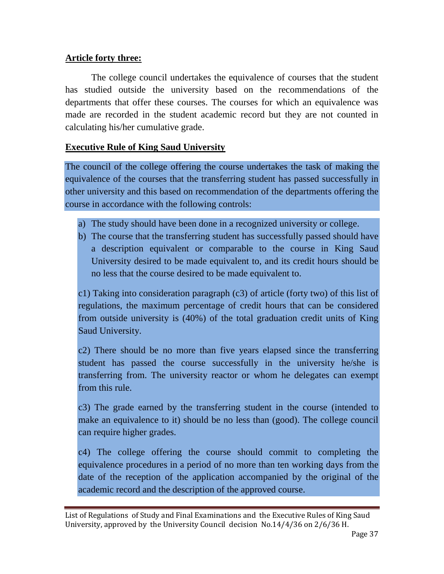### **Article forty three:**

The college council undertakes the equivalence of courses that the student has studied outside the university based on the recommendations of the departments that offer these courses. The courses for which an equivalence was made are recorded in the student academic record but they are not counted in calculating his/her cumulative grade.

### **Executive Rule of King Saud University**

The council of the college offering the course undertakes the task of making the equivalence of the courses that the transferring student has passed successfully in other university and this based on recommendation of the departments offering the course in accordance with the following controls:

- a) The study should have been done in a recognized university or college.
- b) The course that the transferring student has successfully passed should have a description equivalent or comparable to the course in King Saud University desired to be made equivalent to, and its credit hours should be no less that the course desired to be made equivalent to.

c1) Taking into consideration paragraph (c3) of article (forty two) of this list of regulations, the maximum percentage of credit hours that can be considered from outside university is (40%) of the total graduation credit units of King Saud University.

c2) There should be no more than five years elapsed since the transferring student has passed the course successfully in the university he/she is transferring from. The university reactor or whom he delegates can exempt from this rule.

c3) The grade earned by the transferring student in the course (intended to make an equivalence to it) should be no less than (good). The college council can require higher grades.

c4) The college offering the course should commit to completing the equivalence procedures in a period of no more than ten working days from the date of the reception of the application accompanied by the original of the academic record and the description of the approved course.

List of Regulations of Study and Final Examinations and the Executive Rules of King Saud University, approved by the University Council decision No.14/4/36 on 2/6/36 H.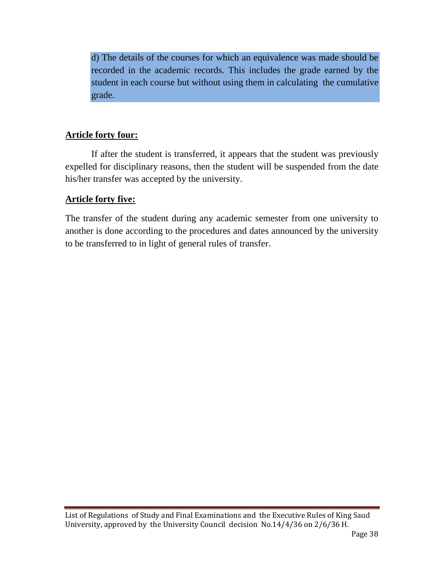d) The details of the courses for which an equivalence was made should be recorded in the academic records. This includes the grade earned by the student in each course but without using them in calculating the cumulative grade.

### **Article forty four:**

If after the student is transferred, it appears that the student was previously expelled for disciplinary reasons, then the student will be suspended from the date his/her transfer was accepted by the university.

### **Article forty five:**

The transfer of the student during any academic semester from one university to another is done according to the procedures and dates announced by the university to be transferred to in light of general rules of transfer.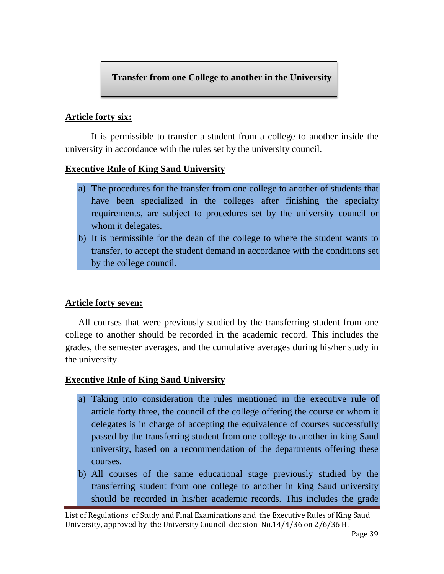### **Transfer from one College to another in the University**

### **Article forty six:**

It is permissible to transfer a student from a college to another inside the university in accordance with the rules set by the university council.

### **Executive Rule of King Saud University**

- a) The procedures for the transfer from one college to another of students that have been specialized in the colleges after finishing the specialty requirements, are subject to procedures set by the university council or whom it delegates.
- b) It is permissible for the dean of the college to where the student wants to transfer, to accept the student demand in accordance with the conditions set by the college council.

### **Article forty seven:**

All courses that were previously studied by the transferring student from one college to another should be recorded in the academic record. This includes the grades, the semester averages, and the cumulative averages during his/her study in the university.

### **Executive Rule of King Saud University**

- a) Taking into consideration the rules mentioned in the executive rule of article forty three, the council of the college offering the course or whom it delegates is in charge of accepting the equivalence of courses successfully passed by the transferring student from one college to another in king Saud university, based on a recommendation of the departments offering these courses.
- b) All courses of the same educational stage previously studied by the transferring student from one college to another in king Saud university should be recorded in his/her academic records. This includes the grade

List of Regulations of Study and Final Examinations and the Executive Rules of King Saud University, approved by the University Council decision No.14/4/36 on 2/6/36 H.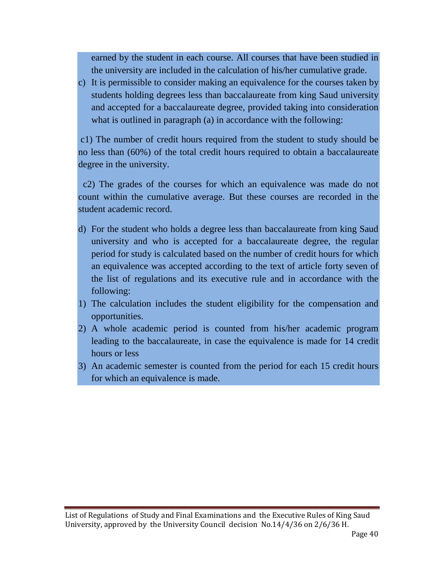earned by the student in each course. All courses that have been studied in the university are included in the calculation of his/her cumulative grade.

c) It is permissible to consider making an equivalence for the courses taken by students holding degrees less than baccalaureate from king Saud university and accepted for a baccalaureate degree, provided taking into consideration what is outlined in paragraph (a) in accordance with the following:

c1) The number of credit hours required from the student to study should be no less than (60%) of the total credit hours required to obtain a baccalaureate degree in the university.

c2) The grades of the courses for which an equivalence was made do not count within the cumulative average. But these courses are recorded in the student academic record.

- d) For the student who holds a degree less than baccalaureate from king Saud university and who is accepted for a baccalaureate degree, the regular period for study is calculated based on the number of credit hours for which an equivalence was accepted according to the text of article forty seven of the list of regulations and its executive rule and in accordance with the following:
- 1) The calculation includes the student eligibility for the compensation and opportunities.
- 2) A whole academic period is counted from his/her academic program leading to the baccalaureate, in case the equivalence is made for 14 credit hours or less
- 3) An academic semester is counted from the period for each 15 credit hours for which an equivalence is made.

List of Regulations of Study and Final Examinations and the Executive Rules of King Saud University, approved by the University Council decision No.14/4/36 on 2/6/36 H.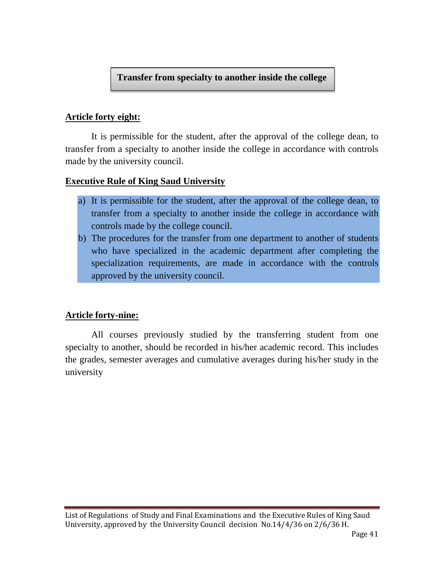### **Transfer from specialty to another inside the college**

### **Article forty eight:**

It is permissible for the student, after the approval of the college dean, to transfer from a specialty to another inside the college in accordance with controls made by the university council.

### **Executive Rule of King Saud University**

- a) It is permissible for the student, after the approval of the college dean, to transfer from a specialty to another inside the college in accordance with controls made by the college council.
- b) The procedures for the transfer from one department to another of students who have specialized in the academic department after completing the specialization requirements, are made in accordance with the controls approved by the university council.

### **Article forty-nine:**

All courses previously studied by the transferring student from one specialty to another, should be recorded in his/her academic record. This includes the grades, semester averages and cumulative averages during his/her study in the university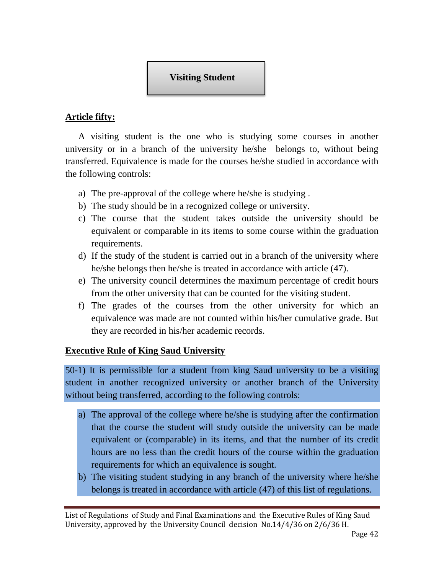

### **Article fifty:**

A visiting student is the one who is studying some courses in another university or in a branch of the university he/she belongs to, without being transferred. Equivalence is made for the courses he/she studied in accordance with the following controls:

- a) The pre-approval of the college where he/she is studying .
- b) The study should be in a recognized college or university.
- c) The course that the student takes outside the university should be equivalent or comparable in its items to some course within the graduation requirements.
- d) If the study of the student is carried out in a branch of the university where he/she belongs then he/she is treated in accordance with article (47).
- e) The university council determines the maximum percentage of credit hours from the other university that can be counted for the visiting student.
- f) The grades of the courses from the other university for which an equivalence was made are not counted within his/her cumulative grade. But they are recorded in his/her academic records.

### **Executive Rule of King Saud University**

50-1) It is permissible for a student from king Saud university to be a visiting student in another recognized university or another branch of the University without being transferred, according to the following controls:

- a) The approval of the college where he/she is studying after the confirmation that the course the student will study outside the university can be made equivalent or (comparable) in its items, and that the number of its credit hours are no less than the credit hours of the course within the graduation requirements for which an equivalence is sought.
- b) The visiting student studying in any branch of the university where he/she belongs is treated in accordance with article (47) of this list of regulations.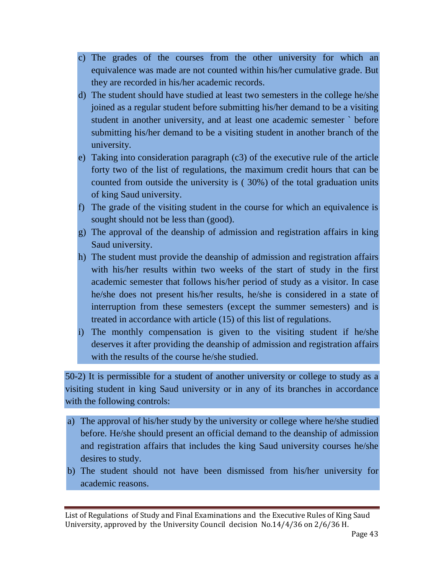- c) The grades of the courses from the other university for which an equivalence was made are not counted within his/her cumulative grade. But they are recorded in his/her academic records.
- d) The student should have studied at least two semesters in the college he/she joined as a regular student before submitting his/her demand to be a visiting student in another university, and at least one academic semester ` before submitting his/her demand to be a visiting student in another branch of the university.
- e) Taking into consideration paragraph  $(c3)$  of the executive rule of the article forty two of the list of regulations, the maximum credit hours that can be counted from outside the university is ( 30%) of the total graduation units of king Saud university.
- f) The grade of the visiting student in the course for which an equivalence is sought should not be less than (good).
- g) The approval of the deanship of admission and registration affairs in king Saud university.
- h) The student must provide the deanship of admission and registration affairs with his/her results within two weeks of the start of study in the first academic semester that follows his/her period of study as a visitor. In case he/she does not present his/her results, he/she is considered in a state of interruption from these semesters (except the summer semesters) and is treated in accordance with article (15) of this list of regulations.
- i) The monthly compensation is given to the visiting student if he/she deserves it after providing the deanship of admission and registration affairs with the results of the course he/she studied.

50-2) It is permissible for a student of another university or college to study as a visiting student in king Saud university or in any of its branches in accordance with the following controls:

- a) The approval of his/her study by the university or college where he/she studied before. He/she should present an official demand to the deanship of admission and registration affairs that includes the king Saud university courses he/she desires to study.
- b) The student should not have been dismissed from his/her university for academic reasons.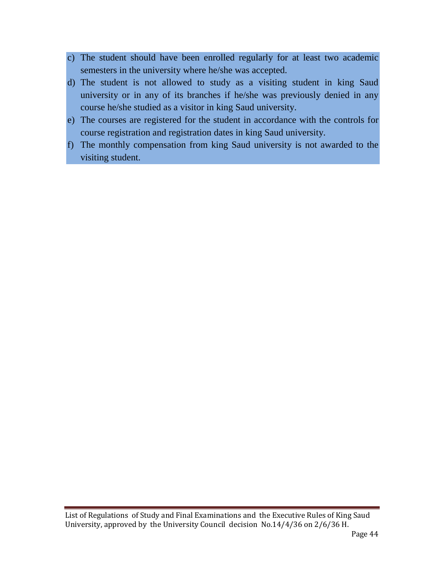- c) The student should have been enrolled regularly for at least two academic semesters in the university where he/she was accepted.
- d) The student is not allowed to study as a visiting student in king Saud university or in any of its branches if he/she was previously denied in any course he/she studied as a visitor in king Saud university.
- e) The courses are registered for the student in accordance with the controls for course registration and registration dates in king Saud university.
- f) The monthly compensation from king Saud university is not awarded to the visiting student.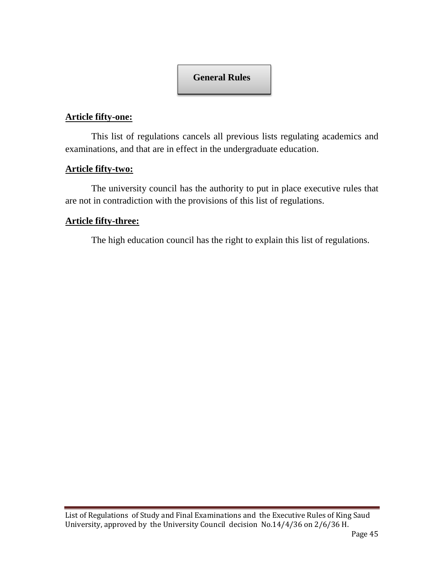### **General Rules**

#### **Article fifty-one:**

This list of regulations cancels all previous lists regulating academics and examinations, and that are in effect in the undergraduate education.

#### **Article fifty-two:**

The university council has the authority to put in place executive rules that are not in contradiction with the provisions of this list of regulations.

#### **Article fifty-three:**

The high education council has the right to explain this list of regulations.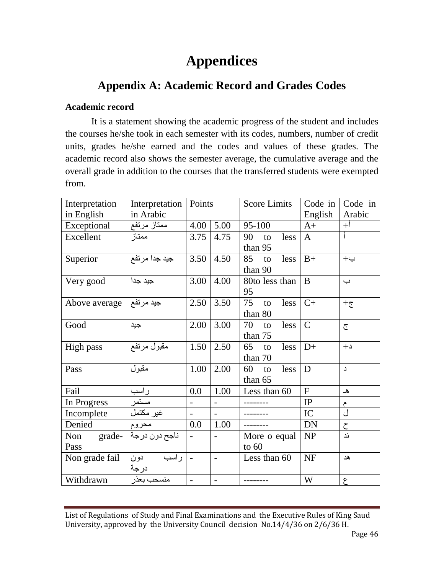# **Appendices**

## **Appendix A: Academic Record and Grades Codes**

### **Academic record**

It is a statement showing the academic progress of the student and includes the courses he/she took in each semester with its codes, numbers, number of credit units, grades he/she earned and the codes and values of these grades. The academic record also shows the semester average, the cumulative average and the overall grade in addition to the courses that the transferred students were exempted from.

| Interpretation  | Interpretation | Points                   |                          | <b>Score Limits</b> | Code in        | Code in        |
|-----------------|----------------|--------------------------|--------------------------|---------------------|----------------|----------------|
| in English      | in Arabic      |                          |                          |                     | English        | Arabic         |
| Exceptional     | ممتاز مرتفع    | 4.00                     | 5.00                     | 95-100              | $A+$           | $+1$           |
| Excellent       | ممتاز          | 3.75                     | 4.75                     | 90<br>less<br>to    | $\mathbf{A}$   |                |
|                 |                |                          |                          | than 95             |                |                |
| Superior        | جيد جدا مرتفع  | 3.50                     | 4.50                     | 85<br>less<br>to    | $B+$           | $\div$         |
|                 |                |                          |                          | than 90             |                |                |
| Very good       | جيد جدا        | 3.00                     | 4.00                     | 80to less than      | B              | ب              |
|                 |                |                          |                          | 95                  |                |                |
| Above average   | جيد مرتفع      | 2.50                     | 3.50                     | less<br>75<br>to    | $C+$           | $+\mathcal{E}$ |
|                 |                |                          |                          | than 80             |                |                |
| Good            | جيد            | 2.00                     | 3.00                     | 70<br>less<br>to    | $\mathcal{C}$  | $\overline{C}$ |
|                 |                |                          |                          | than 75             |                |                |
| High pass       | مقبول مرتفع    | 1.50                     | 2.50                     | 65<br>less<br>to    | $D+$           | $+1$           |
|                 |                |                          |                          | than 70             |                |                |
| Pass            | مقبول          | 1.00                     | 2.00                     | 60<br>less<br>to    | D              | د              |
|                 |                |                          |                          | than 65             |                |                |
| Fail            | ر اسب          | 0.0                      | 1.00                     | Less than 60        | $\overline{F}$ | هـ             |
| In Progress     | مستمر          | $\overline{\phantom{a}}$ | $\overline{\phantom{a}}$ |                     | IP             | م              |
| Incomplete      | غير مكتمل      | $\overline{\phantom{a}}$ | $\blacksquare$           |                     | IC             | ل              |
| Denied          | محروم          | 0.0                      | 1.00                     |                     | <b>DN</b>      | $\zeta$        |
| $grade-$<br>Non | ناجح دون درجة  |                          |                          | More o equal        | NP             | ند             |
| Pass            |                |                          |                          | to $60$             |                |                |
| Non grade fail  | راسب<br>دون    | $\blacksquare$           | $\blacksquare$           | Less than 60        | <b>NF</b>      | هد             |
|                 | درجة           |                          |                          |                     |                |                |
| Withdrawn       | منسحب بعذر     | $\overline{a}$           | $\blacksquare$           |                     | W              | ع              |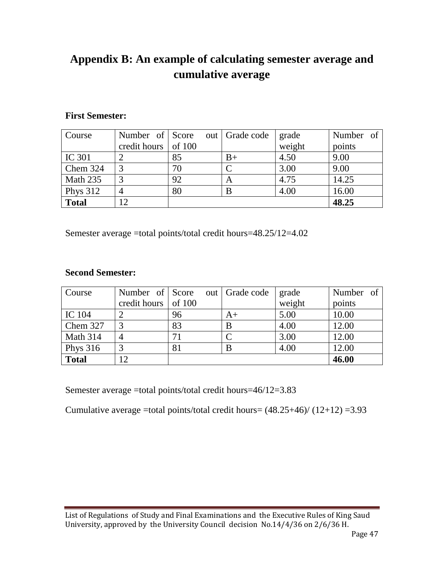# **Appendix B: An example of calculating semester average and cumulative average**

#### **First Semester:**

| Course          | Number of Score             |    | out   Grade code | grade  | Number of |
|-----------------|-----------------------------|----|------------------|--------|-----------|
|                 | credit hours $\vert$ of 100 |    |                  | weight | points    |
| <b>IC 301</b>   |                             | 85 | $B+$             | 4.50   | 9.00      |
| Chem 324        |                             | 70 |                  | 3.00   | 9.00      |
| Math 235        |                             | 92 | A                | 4.75   | 14.25     |
| <b>Phys</b> 312 |                             | 80 | B                | 4.00   | 16.00     |
| <b>Total</b>    | 12                          |    |                  |        | 48.25     |

Semester average =total points/total credit hours=48.25/12=4.02

### **Second Semester:**

| Course       | Number of Score             |    | out   Grade code | grade  | Number of |
|--------------|-----------------------------|----|------------------|--------|-----------|
|              | credit hours $\vert$ of 100 |    |                  | weight | points    |
| IC 104       |                             | 96 | $A+$             | 5.00   | 10.00     |
| Chem 327     | 3                           | 83 | B                | 4.00   | 12.00     |
| Math 314     |                             | 71 |                  | 3.00   | 12.00     |
| Phys $316$   |                             | 81 | B                | 4.00   | 12.00     |
| <b>Total</b> | 12                          |    |                  |        | 46.00     |

Semester average =total points/total credit hours=46/12=3.83

Cumulative average =total points/total credit hours=  $(48.25+46)/(12+12)$  =3.93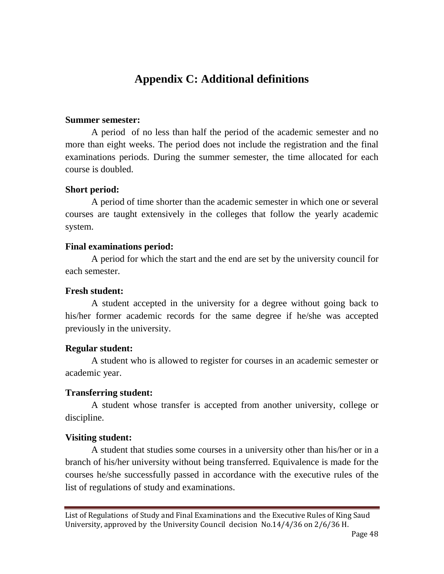# **Appendix C: Additional definitions**

#### **Summer semester:**

A period of no less than half the period of the academic semester and no more than eight weeks. The period does not include the registration and the final examinations periods. During the summer semester, the time allocated for each course is doubled.

#### **Short period:**

A period of time shorter than the academic semester in which one or several courses are taught extensively in the colleges that follow the yearly academic system.

#### **Final examinations period:**

A period for which the start and the end are set by the university council for each semester.

#### **Fresh student:**

A student accepted in the university for a degree without going back to his/her former academic records for the same degree if he/she was accepted previously in the university.

#### **Regular student:**

A student who is allowed to register for courses in an academic semester or academic year.

#### **Transferring student:**

A student whose transfer is accepted from another university, college or discipline.

#### **Visiting student:**

A student that studies some courses in a university other than his/her or in a branch of his/her university without being transferred. Equivalence is made for the courses he/she successfully passed in accordance with the executive rules of the list of regulations of study and examinations.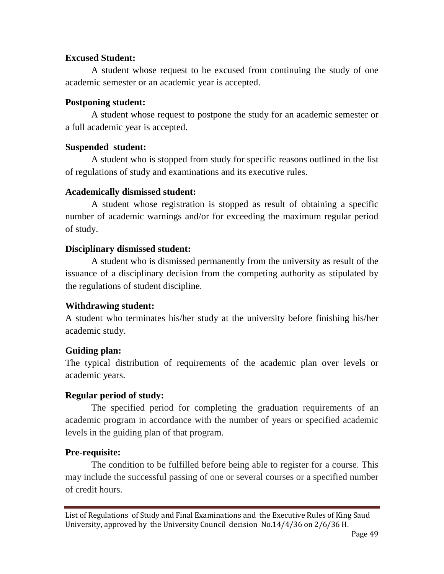### **Excused Student:**

A student whose request to be excused from continuing the study of one academic semester or an academic year is accepted.

#### **Postponing student:**

A student whose request to postpone the study for an academic semester or a full academic year is accepted.

#### **Suspended student:**

A student who is stopped from study for specific reasons outlined in the list of regulations of study and examinations and its executive rules.

#### **Academically dismissed student:**

A student whose registration is stopped as result of obtaining a specific number of academic warnings and/or for exceeding the maximum regular period of study.

### **Disciplinary dismissed student:**

A student who is dismissed permanently from the university as result of the issuance of a disciplinary decision from the competing authority as stipulated by the regulations of student discipline.

### **Withdrawing student:**

A student who terminates his/her study at the university before finishing his/her academic study.

### **Guiding plan:**

The typical distribution of requirements of the academic plan over levels or academic years.

### **Regular period of study:**

The specified period for completing the graduation requirements of an academic program in accordance with the number of years or specified academic levels in the guiding plan of that program.

### **Pre-requisite:**

The condition to be fulfilled before being able to register for a course. This may include the successful passing of one or several courses or a specified number of credit hours.